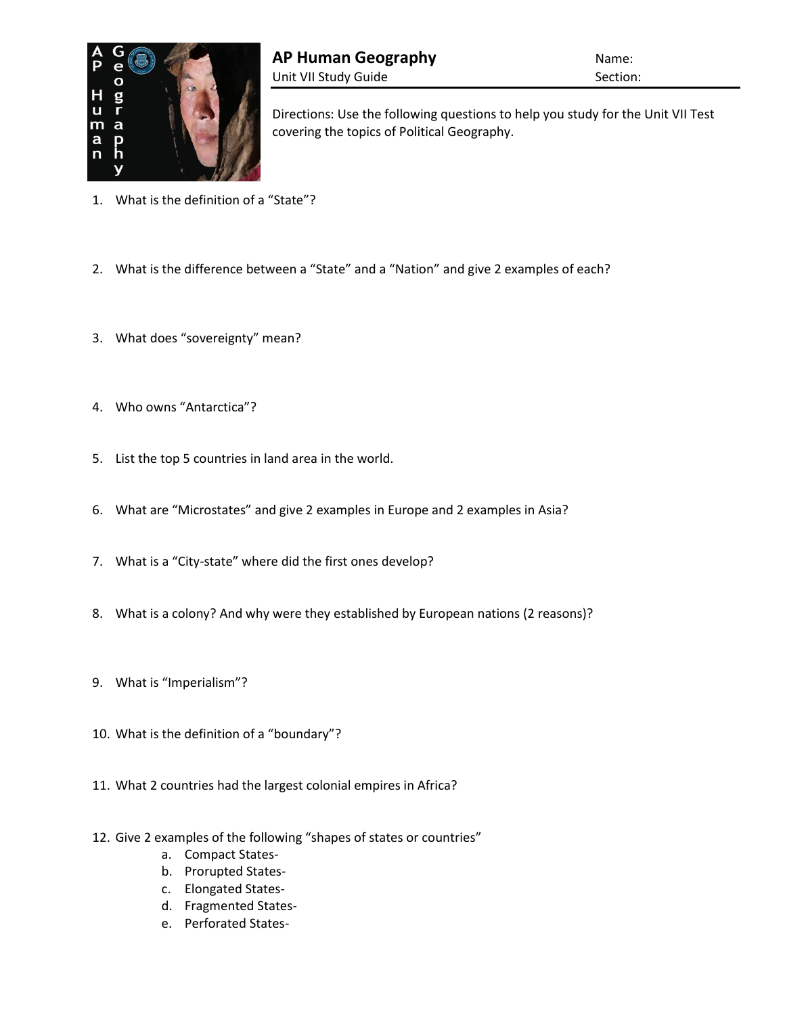

Directions: Use the following questions to help you study for the Unit VII Test covering the topics of Political Geography.

- 1. What is the definition of a "State"?
- 2. What is the difference between a "State" and a "Nation" and give 2 examples of each?
- 3. What does "sovereignty" mean?
- 4. Who owns "Antarctica"?
- 5. List the top 5 countries in land area in the world.
- 6. What are "Microstates" and give 2 examples in Europe and 2 examples in Asia?
- 7. What is a "City-state" where did the first ones develop?
- 8. What is a colony? And why were they established by European nations (2 reasons)?
- 9. What is "Imperialism"?
- 10. What is the definition of a "boundary"?
- 11. What 2 countries had the largest colonial empires in Africa?
- 12. Give 2 examples of the following "shapes of states or countries"
	- a. Compact States-
	- b. Prorupted States-
	- c. Elongated States-
	- d. Fragmented States-
	- e. Perforated States-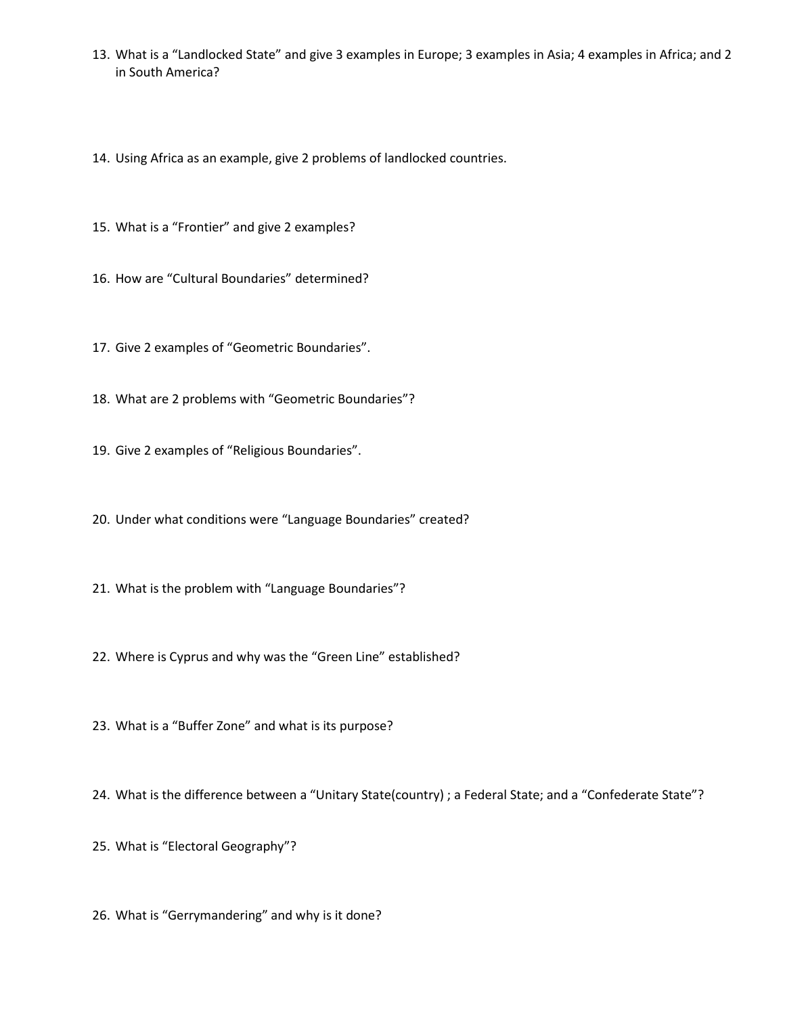13. What is a "Landlocked State" and give 3 examples in Europe; 3 examples in Asia; 4 examples in Africa; and 2 in South America?

14. Using Africa as an example, give 2 problems of landlocked countries.

15. What is a "Frontier" and give 2 examples?

16. How are "Cultural Boundaries" determined?

17. Give 2 examples of "Geometric Boundaries".

18. What are 2 problems with "Geometric Boundaries"?

19. Give 2 examples of "Religious Boundaries".

20. Under what conditions were "Language Boundaries" created?

21. What is the problem with "Language Boundaries"?

22. Where is Cyprus and why was the "Green Line" established?

23. What is a "Buffer Zone" and what is its purpose?

24. What is the difference between a "Unitary State(country) ; a Federal State; and a "Confederate State"?

25. What is "Electoral Geography"?

26. What is "Gerrymandering" and why is it done?